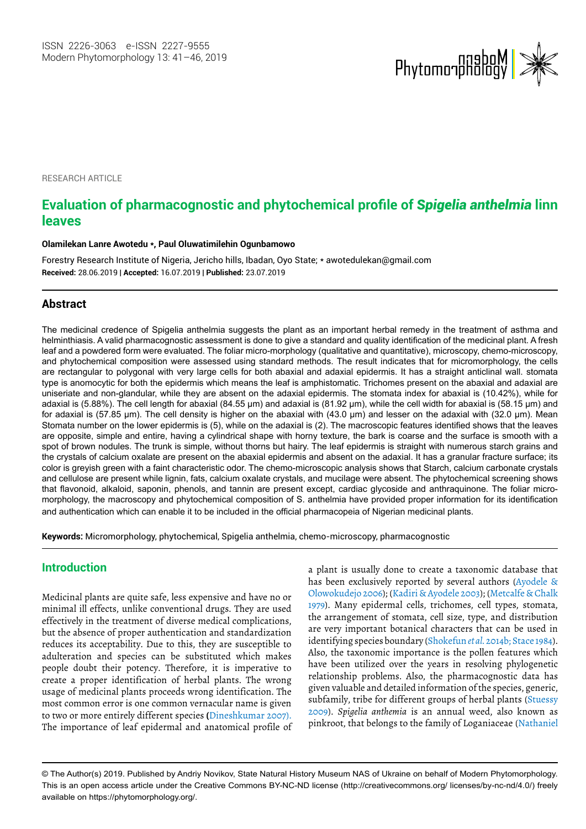

**RESEARCH ARTICLE** 

# **Evaluation of pharmacognostic and phytochemical profile of** *Spigelia anthelmia* **linn leaves**

#### **Olamilekan Lanre Awotedu \*, Paul Oluwatimilehin Ogunbamowo**

Forestry Research Institute of Nigeria, Jericho hills, Ibadan, Oyo State; \* awotedulekan@gmail.com **Received:** 28.06.2019 | **Accepted:** 16.07.2019 | **Published:** 23.07.2019

## **Abstract**

The medicinal credence of Spigelia anthelmia suggests the plant as an important herbal remedy in the treatment of asthma and helminthiasis. A valid pharmacognostic assessment is done to give a standard and quality identification of the medicinal plant. A fresh leaf and a powdered form were evaluated. The foliar micro-morphology (qualitative and quantitative), microscopy, chemo-microscopy, and phytochemical composition were assessed using standard methods. The result indicates that for micromorphology, the cells are rectangular to polygonal with very large cells for both abaxial and adaxial epidermis. It has a straight anticlinal wall. stomata type is anomocytic for both the epidermis which means the leaf is amphistomatic. Trichomes present on the abaxial and adaxial are uniseriate and non-glandular, while they are absent on the adaxial epidermis. The stomata index for abaxial is (10.42%), while for adaxial is (5.88%). The cell length for abaxial (84.55 μm) and adaxial is (81.92 μm), while the cell width for abaxial is (58.15 μm) and for adaxial is (57.85 μm). The cell density is higher on the abaxial with (43.0 μm) and lesser on the adaxial with (32.0 μm). Mean Stomata number on the lower epidermis is (5), while on the adaxial is (2). The macroscopic features identified shows that the leaves are opposite, simple and entire, having a cylindrical shape with horny texture, the bark is coarse and the surface is smooth with a spot of brown nodules. The trunk is simple, without thorns but hairy. The leaf epidermis is straight with numerous starch grains and the crystals of calcium oxalate are present on the abaxial epidermis and absent on the adaxial. It has a granular fracture surface; its color is greyish green with a faint characteristic odor. The chemo-microscopic analysis shows that Starch, calcium carbonate crystals and cellulose are present while lignin, fats, calcium oxalate crystals, and mucilage were absent. The phytochemical screening shows that flavonoid, alkaloid, saponin, phenols, and tannin are present except, cardiac glycoside and anthraquinone. The foliar micromorphology, the macroscopy and phytochemical composition of S. anthelmia have provided proper information for its identification and authentication which can enable it to be included in the official pharmacopeia of Nigerian medicinal plants.

**Keywords:** Micromorphology, phytochemical, Spigelia anthelmia, chemo-microscopy, pharmacognostic

## **Introduction**

Medicinal plants are quite safe, less expensive and have no or minimal ill effects, unlike conventional drugs. They are used effectively in the treatment of diverse medical complications, but the absence of proper authentication and standardization reduces its acceptability. Due to this, they are susceptible to adulteration and species can be substituted which makes people doubt their potency. Therefore, it is imperative to create a proper identification of herbal plants. The wrong usage of medicinal plants proceeds wrong identification. The most common error is one common vernacular name is given to two or more entirely different species **(**Dineshkumar 2007). The importance of leaf epidermal and anatomical profile of a plant is usually done to create a taxonomic database that has been exclusively reported by several authors (Ayodele & Olowokudejo 2006); (Kadiri & Ayodele 2003); (Metcalfe & Chalk 1979). Many epidermal cells, trichomes, cell types, stomata, the arrangement of stomata, cell size, type, and distribution are very important botanical characters that can be used in identifying species boundary (Shokefun *et al.* 2014b; Stace 1984). Also, the taxonomic importance is the pollen features which have been utilized over the years in resolving phylogenetic relationship problems. Also, the pharmacognostic data has given valuable and detailed information of the species, generic, subfamily, tribe for different groups of herbal plants (Stuessy 2009). *Spigelia anthemia* is an annual weed, also known as pinkroot, that belongs to the family of Loganiaceae (Nathaniel

<sup>©</sup> The Author(s) 2019. Published by Andriy Novikov, State Natural History Museum NAS of Ukraine on behalf of Modern Phytomorphology. This is an open access article under the Creative Commons BY-NC-ND license (http://creativecommons.org/ licenses/by-nc-nd/4.0/) freely available on https://phytomorphology.org/.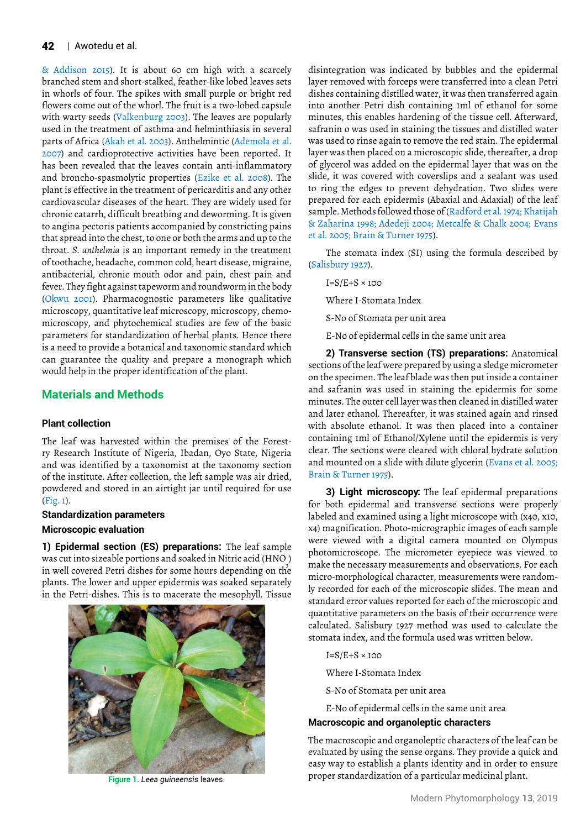& Addison 2015). It is about 60 cm high with a scarcely branched stem and short-stalked, feather-like lobed leaves sets in whorls of four. The spikes with small purple or bright red flowers come out of the whorl. The fruit is a two-lobed capsule with warty seeds (Valkenburg 2003). The leaves are popularly used in the treatment of asthma and helminthiasis in several parts of Africa (Akah et al. 2003). Anthelmintic (Ademola et al. 2007) and cardioprotective activities have been reported. It has been revealed that the leaves contain anti-inflammatory and broncho-spasmolytic properties (Ezike et al. 2008). The plant is effective in the treatment of pericarditis and any other cardiovascular diseases of the heart. They are widely used for chronic catarrh, difficult breathing and deworming. It is given to angina pectoris patients accompanied by constricting pains that spread into the chest, to one or both the arms and up to the throat. *S. anthelmia* is an important remedy in the treatment of toothache, headache, common cold, heart disease, migraine, antibacterial, chronic mouth odor and pain, chest pain and fever. They fight against tapeworm and roundworm in the body (Okwu 2001). Pharmacognostic parameters like qualitative microscopy, quantitative leaf microscopy, microscopy, chemomicroscopy, and phytochemical studies are few of the basic parameters for standardization of herbal plants. Hence there is a need to provide a botanical and taxonomic standard which can guarantee the quality and prepare a monograph which would help in the proper identification of the plant.

## **Materials and Methods**

## **Plant collection**

The leaf was harvested within the premises of the Forestry Research Institute of Nigeria, Ibadan, Oyo State, Nigeria and was identified by a taxonomist at the taxonomy section of the institute. After collection, the left sample was air dried, powdered and stored in an airtight jar until required for use (Fig. 1).

#### **Standardization parameters**

#### **Microscopic evaluation**

**1) Epidermal section (ES) preparations:** The leaf sample was cut into sizeable portions and soaked in Nitric acid (HNO )<br>. in well covered Petri dishes for some hours depending on the plants. The lower and upper epidermis was soaked separately in the Petri-dishes. This is to macerate the mesophyll. Tissue



disintegration was indicated by bubbles and the epidermal layer removed with forceps were transferred into a clean Petri dishes containing distilled water, it was then transferred again into another Petri dish containing 1ml of ethanol for some minutes, this enables hardening of the tissue cell. Afterward, safranin o was used in staining the tissues and distilled water was used to rinse again to remove the red stain. The epidermal layer was then placed on a microscopic slide, thereafter, a drop of glycerol was added on the epidermal layer that was on the slide, it was covered with coverslips and a sealant was used to ring the edges to prevent dehydration. Two slides were prepared for each epidermis (Abaxial and Adaxial) of the leaf sample. Methods followed those of (Radford et al*.* 1974; Khatijah & Zaharina 1998; Adedeji 2004; Metcalfe & Chalk 2004; Evans et al. 2005; Brain & Turner 1975).

The stomata index (SI) using the formula described by (Salisbury 1927).

 $I=S/E+S \times 100$ 

Where I-Stomata Index

S-No of Stomata per unit area

E-No of epidermal cells in the same unit area

**2) Transverse section (TS) preparations:** Anatomical sections of the leaf were prepared by using a sledge micrometer on the specimen. The leaf blade was then put inside a container and safranin was used in staining the epidermis for some minutes. The outer cell layer was then cleaned in distilled water and later ethanol. Thereafter, it was stained again and rinsed with absolute ethanol. It was then placed into a container containing 1ml of Ethanol/Xylene until the epidermis is very clear. The sections were cleared with chloral hydrate solution and mounted on a slide with dilute glycerin (Evans et al. 2005; Brain & Turner 1975).

**3) Light microscopy:** The leaf epidermal preparations for both epidermal and transverse sections were properly labeled and examined using a light microscope with (x40, x10, x4) magnification. Photo-micrographic images of each sample were viewed with a digital camera mounted on Olympus photomicroscope. The micrometer eyepiece was viewed to make the necessary measurements and observations. For each micro-morphological character, measurements were randomly recorded for each of the microscopic slides. The mean and standard error values reported for each of the microscopic and quantitative parameters on the basis of their occurrence were calculated. Salisbury 1927 method was used to calculate the stomata index, and the formula used was written below.

- $I=S/E+S \times 100$
- Where I-Stomata Index
- S-No of Stomata per unit area
- E-No of epidermal cells in the same unit area

## **Macroscopic and organoleptic characters**

The macroscopic and organoleptic characters of the leaf can be evaluated by using the sense organs. They provide a quick and easy way to establish a plants identity and in order to ensure proper standardization of a particular medicinal plant. **Figure 1.** *Leea guineensis* leaves.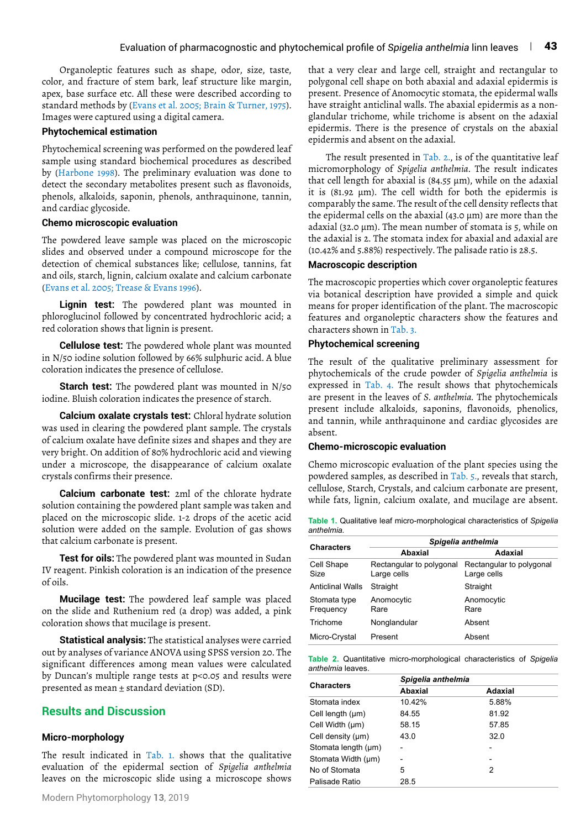Organoleptic features such as shape, odor, size, taste, color, and fracture of stem bark, leaf structure like margin, apex, base surface etc. All these were described according to standard methods by (Evans et al. 2005; Brain & Turner, 1975). Images were captured using a digital camera.

#### **Phytochemical estimation**

Phytochemical screening was performed on the powdered leaf sample using standard biochemical procedures as described by (Harbone 1998). The preliminary evaluation was done to detect the secondary metabolites present such as flavonoids, phenols, alkaloids, saponin, phenols, anthraquinone, tannin, and cardiac glycoside.

#### **Chemo microscopic evaluation**

The powdered leave sample was placed on the microscopic slides and observed under a compound microscope for the detection of chemical substances like; cellulose, tannins, fat and oils, starch, lignin, calcium oxalate and calcium carbonate (Evans et al. 2005; Trease & Evans 1996).

**Lignin test:** The powdered plant was mounted in phloroglucinol followed by concentrated hydrochloric acid; a red coloration shows that lignin is present.

**Cellulose test:** The powdered whole plant was mounted in N/50 iodine solution followed by 66% sulphuric acid. A blue coloration indicates the presence of cellulose.

**Starch test:** The powdered plant was mounted in N/50 iodine. Bluish coloration indicates the presence of starch.

**Calcium oxalate crystals test:** Chloral hydrate solution was used in clearing the powdered plant sample. The crystals of calcium oxalate have definite sizes and shapes and they are very bright. On addition of 80% hydrochloric acid and viewing under a microscope, the disappearance of calcium oxalate crystals confirms their presence.

**Calcium carbonate test:** 2ml of the chlorate hydrate solution containing the powdered plant sample was taken and placed on the microscopic slide. 1-2 drops of the acetic acid solution were added on the sample. Evolution of gas shows that calcium carbonate is present.

**Test for oils:** The powdered plant was mounted in Sudan IV reagent. Pinkish coloration is an indication of the presence of oils.

**Mucilage test:** The powdered leaf sample was placed on the slide and Ruthenium red (a drop) was added, a pink coloration shows that mucilage is present.

**Statistical analysis:** The statistical analyses were carried out by analyses of variance ANOVA using SPSS version 20. The significant differences among mean values were calculated by Duncan's multiple range tests at p<0.05 and results were presented as mean ± standard deviation (SD).

## **Results and Discussion**

#### **Micro-morphology**

The result indicated in Tab. 1. shows that the qualitative evaluation of the epidermal section of *Spigelia anthelmia* leaves on the microscopic slide using a microscope shows that a very clear and large cell, straight and rectangular to polygonal cell shape on both abaxial and adaxial epidermis is present. Presence of Anomocytic stomata, the epidermal walls have straight anticlinal walls. The abaxial epidermis as a nonglandular trichome, while trichome is absent on the adaxial epidermis. There is the presence of crystals on the abaxial epidermis and absent on the adaxial.

The result presented in Tab. 2., is of the quantitative leaf micromorphology of *Spigelia anthelmia*. The result indicates that cell length for abaxial is (84.55 μm), while on the adaxial it is (81.92 μm). The cell width for both the epidermis is comparably the same. The result of the cell density reflects that the epidermal cells on the abaxial (43.0 μm) are more than the adaxial (32.0 μm). The mean number of stomata is 5, while on the adaxial is 2. The stomata index for abaxial and adaxial are (10.42% and 5.88%) respectively. The palisade ratio is 28.5.

#### **Macroscopic description**

The macroscopic properties which cover organoleptic features via botanical description have provided a simple and quick means for proper identification of the plant. The macroscopic features and organoleptic characters show the features and characters shown in Tab. 3.

#### **Phytochemical screening**

The result of the qualitative preliminary assessment for phytochemicals of the crude powder of *Spigelia anthelmia* is expressed in Tab. 4. The result shows that phytochemicals are present in the leaves of *S. anthelmia.* The phytochemicals present include alkaloids, saponins, flavonoids, phenolics, and tannin, while anthraquinone and cardiac glycosides are absent.

#### **Chemo-microscopic evaluation**

Chemo microscopic evaluation of the plant species using the powdered samples, as described in Tab. 5., reveals that starch, cellulose, Starch, Crystals, and calcium carbonate are present, while fats, lignin, calcium oxalate, and mucilage are absent.

**Table 1.** Qualitative leaf micro-morphological characteristics of *Spigelia anthelmia.*

| <b>Characters</b>         | Spigelia anthelmia                      |                                         |  |
|---------------------------|-----------------------------------------|-----------------------------------------|--|
|                           | Abaxial                                 | Adaxial                                 |  |
| Cell Shape<br>Size        | Rectangular to polygonal<br>Large cells | Rectangular to polygonal<br>Large cells |  |
| <b>Anticlinal Walls</b>   | Straight                                | Straight                                |  |
| Stomata type<br>Frequency | Anomocytic<br>Rare                      | Anomocytic<br>Rare                      |  |
| Trichome                  | Nonglandular                            | Absent                                  |  |
| Micro-Crystal             | Present                                 | Absent                                  |  |

**Table 2.** Quantitative micro-morphological characteristics of *Spigelia anthelmia* leaves.

| <b>Characters</b>   | Spigelia anthelmia |         |
|---------------------|--------------------|---------|
|                     | Abaxial            | Adaxial |
| Stomata index       | 10.42%             | 5.88%   |
| Cell length (um)    | 84.55              | 81.92   |
| Cell Width (µm)     | 58.15              | 57.85   |
| Cell density (µm)   | 43.0               | 32.0    |
| Stomata length (µm) |                    |         |
| Stomata Width (um)  | -                  |         |
| No of Stomata       | 5                  | 2       |
| Palisade Ratio      | 28.5               |         |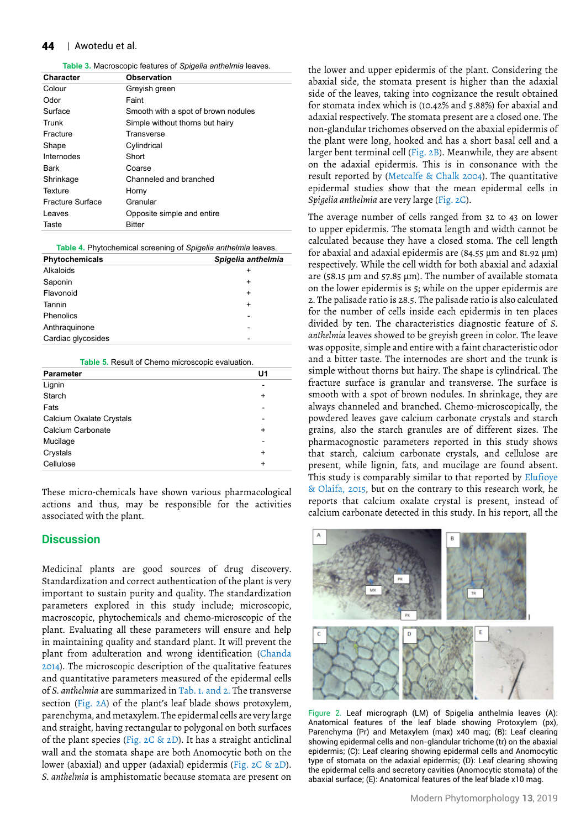#### **44** | Awotedu et al.

**Table 3.** Macroscopic features of *Spigelia anthelmia* leaves.

| Character               | <b>Observation</b>                  |
|-------------------------|-------------------------------------|
| Colour                  | Grevish green                       |
| Odor                    | Faint                               |
| Surface                 | Smooth with a spot of brown nodules |
| Trunk                   | Simple without thorns but hairy     |
| Fracture                | Transverse                          |
| Shape                   | Cylindrical                         |
| Internodes              | Short                               |
| Bark                    | Coarse                              |
| Shrinkage               | Channeled and branched              |
| Texture                 | Horny                               |
| <b>Fracture Surface</b> | Granular                            |
| Leaves                  | Opposite simple and entire          |
| Taste                   | <b>Bitter</b>                       |

**Table 4.** Phytochemical screening of *Spigelia anthelmia* leaves.

| Phytochemicals     | Spigelia anthelmia |
|--------------------|--------------------|
| Alkaloids          | ÷                  |
| Saponin            | $\ddot{}$          |
| Flavonoid          | $\ddot{}$          |
| Tannin             | $\ddot{}$          |
| Phenolics          |                    |
| Anthraguinone      |                    |
| Cardiac glycosides |                    |
|                    |                    |

#### **Table 5.** Result of Chemo microscopic evaluation.

| <b>Parameter</b>         | U <sub>1</sub> |
|--------------------------|----------------|
| Lignin                   |                |
| Starch                   | $\ddot{}$      |
| Fats                     |                |
| Calcium Oxalate Crystals |                |
| Calcium Carbonate        | $\ddot{}$      |
| Mucilage                 | $\overline{a}$ |
| Crystals                 | $\ddot{}$      |
| Cellulose                | $\ddot{}$      |

These micro-chemicals have shown various pharmacological actions and thus, may be responsible for the activities associated with the plant.

### **Discussion**

Medicinal plants are good sources of drug discovery. Standardization and correct authentication of the plant is very important to sustain purity and quality. The standardization parameters explored in this study include; microscopic, macroscopic, phytochemicals and chemo-microscopic of the plant. Evaluating all these parameters will ensure and help in maintaining quality and standard plant. It will prevent the plant from adulteration and wrong identification (Chanda 2014). The microscopic description of the qualitative features and quantitative parameters measured of the epidermal cells of *S. anthelmia* are summarized in Tab. 1. and 2. The transverse section (Fig. 2A) of the plant's leaf blade shows protoxylem, parenchyma, and metaxylem. The epidermal cells are very large and straight, having rectangular to polygonal on both surfaces of the plant species (Fig. 2C & 2D). It has a straight anticlinal wall and the stomata shape are both Anomocytic both on the lower (abaxial) and upper (adaxial) epidermis (Fig. 2C & 2D). *S. anthelmia* is amphistomatic because stomata are present on

the lower and upper epidermis of the plant. Considering the abaxial side, the stomata present is higher than the adaxial side of the leaves, taking into cognizance the result obtained for stomata index which is (10.42% and 5.88%) for abaxial and adaxial respectively. The stomata present are a closed one. The non-glandular trichomes observed on the abaxial epidermis of the plant were long, hooked and has a short basal cell and a larger bent terminal cell (Fig. 2B). Meanwhile, they are absent on the adaxial epidermis. This is in consonance with the result reported by (Metcalfe & Chalk 2004). The quantitative epidermal studies show that the mean epidermal cells in *Spigelia anthelmia* are very large (Fig. 2C).

The average number of cells ranged from 32 to 43 on lower to upper epidermis. The stomata length and width cannot be calculated because they have a closed stoma. The cell length for abaxial and adaxial epidermis are (84.55 μm and 81.92 μm) respectively. While the cell width for both abaxial and adaxial are (58.15 μm and 57.85 μm). The number of available stomata on the lower epidermis is 5; while on the upper epidermis are 2. The palisade ratio is 28.5. The palisade ratio is also calculated for the number of cells inside each epidermis in ten places divided by ten. The characteristics diagnostic feature of *S. anthelmia* leaves showed to be greyish green in color. The leave was opposite, simple and entire with a faint characteristic odor and a bitter taste. The internodes are short and the trunk is simple without thorns but hairy. The shape is cylindrical. The fracture surface is granular and transverse. The surface is smooth with a spot of brown nodules. In shrinkage, they are always channeled and branched. Chemo-microscopically, the powdered leaves gave calcium carbonate crystals and starch grains, also the starch granules are of different sizes. The pharmacognostic parameters reported in this study shows that starch, calcium carbonate crystals, and cellulose are present, while lignin, fats, and mucilage are found absent. This study is comparably similar to that reported by Elufioye & Olaifa, 2015, but on the contrary to this research work, he reports that calcium oxalate crystal is present, instead of calcium carbonate detected in this study. In his report, all the



Figure 2. Leaf micrograph (LM) of Spigelia anthelmia leaves (A): Anatomical features of the leaf blade showing Protoxylem (px), Parenchyma (Pr) and Metaxylem (max) x40 mag; (B): Leaf clearing showing epidermal cells and non-glandular trichome (tr) on the abaxial epidermis; (C): Leaf clearing showing epidermal cells and Anomocytic type of stomata on the adaxial epidermis; (D): Leaf clearing showing the epidermal cells and secretory cavities (Anomocytic stomata) of the abaxial surface; (E): Anatomical features of the leaf blade x10 mag.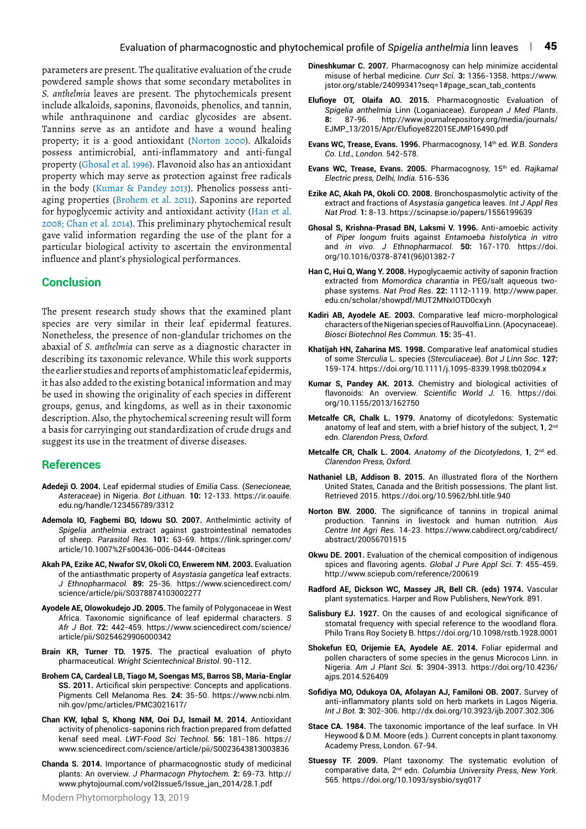parameters are present. The qualitative evaluation of the crude powdered sample shows that some secondary metabolites in *S. anthelmia* leaves are present*.* The phytochemicals present include alkaloids, saponins, flavonoids, phenolics, and tannin, while anthraquinone and cardiac glycosides are absent. Tannins serve as an antidote and have a wound healing property; it is a good antioxidant (Norton 2000). Alkaloids possess antimicrobial, anti-inflammatory and anti-fungal property (Ghosal et al. 1996). Flavonoid also has an antioxidant property which may serve as protection against free radicals in the body (Kumar & Pandey 2013). Phenolics possess antiaging properties (Brohem et al. 2011). Saponins are reported for hypoglycemic activity and antioxidant activity (Han et al. 2008; Chan et al. 2014). This preliminary phytochemical result gave valid information regarding the use of the plant for a particular biological activity to ascertain the environmental influence and plant's physiological performances.

## **Conclusion**

The present research study shows that the examined plant species are very similar in their leaf epidermal features. Nonetheless, the presence of non-glandular trichomes on the abaxial of *S. anthelmia* can serve as a diagnostic character in describing its taxonomic relevance. While this work supports the earlier studies and reports of amphistomatic leaf epidermis, it has also added to the existing botanical information and may be used in showing the originality of each species in different groups, genus, and kingdoms, as well as in their taxonomic description. Also, the phytochemical screening result will form a basis for carryinging out standardization of crude drugs and suggest its use in the treatment of diverse diseases.

## **References**

- **Adedeji O. 2004.** Leaf epidermal studies of *Emilia* Cass. (*Senecioneae, Asteraceae*) in Nigeria. *Bot Lithuan.* **10:** 12-133. https://ir.oauife. edu.ng/handle/123456789/3312
- **Ademola IO, Fagbemi BO, Idowu SO. 2007.** Anthelmintic activity of *Spigelia anthelmia* extract against gastrointestinal nematodes of sheep. *Parasitol Res.* **101:** 63-69. https://link.springer.com/ article/10.1007%2Fs00436-006-0444-0#citeas
- **Akah PA, Ezike AC, Nwafor SV, Okoli CO, Enwerem NM. 2003.** Evaluation of the antiasthmatic property of *Asystasia gangetica* leaf extracts. *J Ethnopharmacol.* **89:** 25-36. https://www.sciencedirect.com/ science/article/pii/S0378874103002277
- **Ayodele AE, Olowokudejo JD. 2005.** The family of Polygonaceae in West Africa. Taxonomic significance of leaf epidermal characters. *S Afr J Bot.* **72:** 442-459. https://www.sciencedirect.com/science/ article/pii/S0254629906000342
- **Brain KR, Turner TD. 1975.** The practical evaluation of phyto pharmaceutical. *Wright Scientechnical Bristol*. 90-112.
- **Brohem CA, Cardeal LB, Tiago M, Soengas MS, Barros SB, Maria-Englar SS. 2011.** Articifical skin perspective: Concepts and applications. Pigments Cell Melanoma Res. **24:** 35-50. https://www.ncbi.nlm. nih.gov/pmc/articles/PMC3021617/
- **Chan KW, Iqbal S, Khong NM, Ooi DJ, Ismail M. 2014.** Antioxidant activity of phenolics-saponins rich fraction prepared from defatted kenaf seed meal. *LWT-Food Sci Technol.* **56:** 181-186. https:// www.sciencedirect.com/science/article/pii/S0023643813003836
- **Chanda S. 2014.** Importance of pharmacognostic study of medicinal plants: An overview. *J Pharmacogn Phytochem.* **2:** 69-73. http:// www.phytojournal.com/vol2Issue5/Issue\_jan\_2014/28.1.pdf
- **Dineshkumar C. 2007.** Pharmacognosy can help minimize accidental misuse of herbal medicine. *Curr Sci*. **3:** 1356-1358. https://www. jstor.org/stable/24099341?seq=1#page\_scan\_tab\_contents
- **Elufioye OT, Olaifa AO. 2015.** Pharmacognostic Evaluation of *Spigelia anthelmia* Linn (Loganiaceae). *European J Med Plants*. **8:** 87-96. http://www.journalrepository.org/media/journals/ EJMP\_13/2015/Apr/Elufioye822015EJMP16490.pdf
- **Evans WC, Trease, Evans. 1996.** Pharmacognosy, 14th ed. *W.B. Sonders Co. Ltd., London.* 542-578.
- Evans WC, Trease, Evans. 2005. Pharmacognosy, 15<sup>th</sup> ed. *Rajkamal Electric press, Delhi, India.* 516-536
- **Ezike AC, Akah PA, Okoli CO. 2008.** Bronchospasmolytic activity of the extract and fractions of *Asystasia gangetica* leaves. *Int J Appl Res Nat Prod.* **1:** 8-13. https://scinapse.io/papers/1556199639
- **Ghosal S, Krishna-Prasad BN, Laksmi V. 1996.** Anti-amoebic activity of *Piper longum* fruits against *Entamoeba histolytica in vitro* and *in vivo*. *J Ethnopharmacol.* **50:** 167-170. https://doi. org/10.1016/0378-8741(96)01382-7
- **Han C, Hui Q, Wang Y. 2008.** Hypoglycaemic activity of saponin fraction extracted from *Momordica charantia* in PEG/salt aqueous twophase systems. *Nat Prod Res*. **22:** 1112-1119. http://www.paper. edu.cn/scholar/showpdf/MUT2MNxIOTD0cxyh
- **Kadiri AB, Ayodele AE. 2003.** Comparative leaf micro-morphological characters of the Nigerian species of Rauvolfia Linn. (Apocynaceae). *Biosci Biotechnol Res Commun.* **15:** 35-41.
- **Khatijah HN, Zaharina MS. 1998.** Comparative leaf anatomical studies of some *Sterculia* L. species (*Sterculiaceae*). *Bot J Linn Soc*. **127:** 159-174. https://doi.org/10.1111/j.1095-8339.1998.tb02094.x
- **Kumar S, Pandey AK. 2013.** Chemistry and biological activities of flavonoids: An overview. *Scientific World J.* 16. https://doi. org/10.1155/2013/162750
- **Metcalfe CR, Chalk L. 1979.** Anatomy of dicotyledons: Systematic anatomy of leaf and stem, with a brief history of the subject, **1**, 2nd edn. *Clarendon Press, Oxford.*
- **Metcalfe CR, Chalk L. 2004.** *Anatomy of the Dicotyledons*, **1**, 2nd ed. *Clarendon Press, Oxford.*
- **Nathaniel LB, Addison B. 2015.** An illustrated flora of the Northern United States, Canada and the British possessions. The plant list. Retrieved 2015. https://doi.org/10.5962/bhl.title.940
- **Norton BW. 2000.** The significance of tannins in tropical animal production. Tannins in livestock and human nutrition. *Aus Centre Int Agri Res.* 14-23. https://www.cabdirect.org/cabdirect/ abstract/20056701515
- **Okwu DE. 2001.** Evaluation of the chemical composition of indigenous spices and flavoring agents. *Global J Pure Appl Sci*. **7**: 455-459. http://www.sciepub.com/reference/200619
- **Radford AE, Dickson WC, Massey JR, Bell CR. (eds) 1974.** Vascular plant systematics. Harper and Row Publishers, NewYork. 891.
- **Salisbury EJ. 1927.** On the causes of and ecological significance of stomatal frequency with special reference to the woodland flora. Philo Trans Roy Society B. https://doi.org/10.1098/rstb.1928.0001
- **Shokefun EO, Orijemie EA, Ayodele AE. 2014.** Foliar epidermal and pollen characters of some species in the genus Microcos Linn. in Nigeria. *Am J Plant Sci.* **5:** 3904-3913. https://doi.org/10.4236/ ajps.2014.526409
- **Sofidiya MO, Odukoya OA, Afolayan AJ, Familoni OB. 2007.** Survey of anti-inflammatory plants sold on herb markets in Lagos Nigeria. *Int J Bot.* **3:** 302-306. http://dx.doi.org/10.3923/ijb.2007.302.306
- **Stace CA. 1984.** The taxonomic importance of the leaf surface. In VH Heywood & D.M. Moore (eds.). Current concepts in plant taxonomy. Academy Press, London. 67-94.
- **Stuessy TF. 2009.** Plant taxonomy: The systematic evolution of comparative data, 2nd edn. *Columbia University Press, New York.* 565. https://doi.org/10.1093/sysbio/syq017